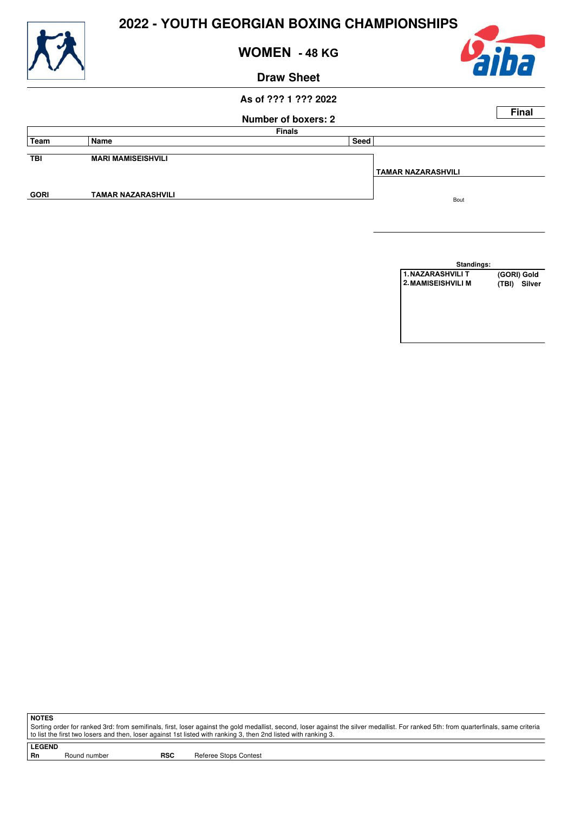

**WOMEN - 48 KG**

#### **Draw Sheet**



#### **As of ??? 1 ??? 2022**

## **Number of boxers: 2 Final Finals Team Name Seed TBI MARI MAMISEISHVILI GORI TAMAR NAZARASHVILI TAMAR NAZARASHVILI**  Bout

**Standings: 1.NAZARASHVILI T** (GORI) Gold<br>
2.**MAMISEISHVILI M** (TBI) Silver **2.MAMISEISHVILI M (TBI) Silver**

**NOTES**

Sorting order for ranked 3rd: from semifinals, first, loser against the gold medallist, second, loser against the silver medallist. For ranked 5th: from quarterfinals, same criteria to list the first two losers and then, loser against 1st listed with ranking 3, then 2nd listed with ranking 3.

**LEGEND**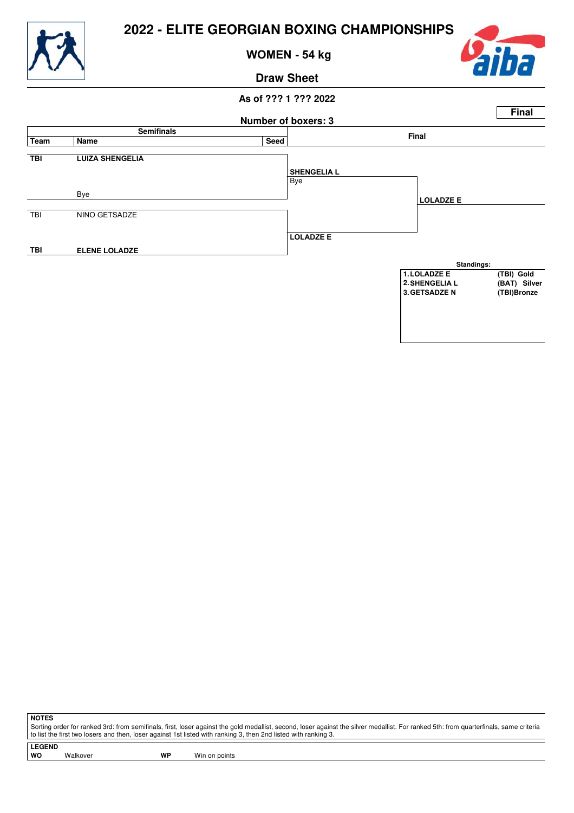

**WOMEN - 54 kg**



### **Draw Sheet**

## **As of ??? 1 ??? 2022 Number of boxers: 3 Final Semifinals Final Team Name Seed TBI LUIZA SHENGELIA** Bye Bye TBI NINO GETSADZE **TBI ELENE LOLADZE SHENGELIA L LOLADZE E LOLADZE E Standings: 1.LOLADZE E** (TBI) Gold<br> **2.** SHENGELIA L (BAT) Silver **2.SHENGELIA L (BAT) Silver 3.GETSADZE N (TBI)Bronze**

**NOTES**

Sorting order for ranked 3rd: from semifinals, first, loser against the gold medallist, second, loser against the silver medallist. For ranked 5th: from quarterfinals, same criteria to list the first two losers and then, loser against 1st listed with ranking 3, then 2nd listed with ranking 3.

**LEGEND**

Walkover **WP** Win on points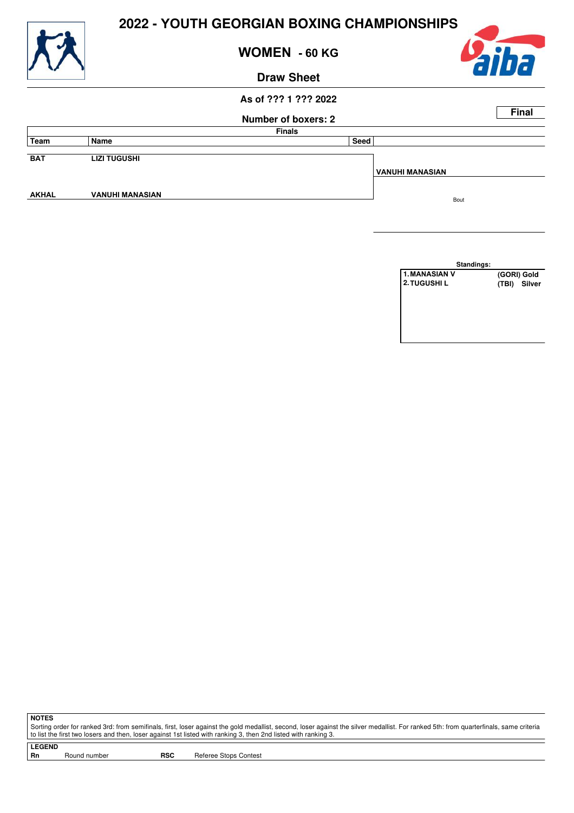

**WOMEN - 60 KG**

#### **Draw Sheet**



#### **As of ??? 1 ??? 2022**

## **Number of boxers: 2 Final Finals Team Name Seed BAT LIZI TUGUSHI AKHAL VANUHI MANASIAN VANUHI MANASIAN**  Bout

**Standings: 1.MANASIAN V (GORI) Gold 2.TUGUSHI L (TBI) Silver**

**NOTES**

Sorting order for ranked 3rd: from semifinals, first, loser against the gold medallist, second, loser against the silver medallist. For ranked 5th: from quarterfinals, same criteria to list the first two losers and then, loser against 1st listed with ranking 3, then 2nd listed with ranking 3.

**LEGEND**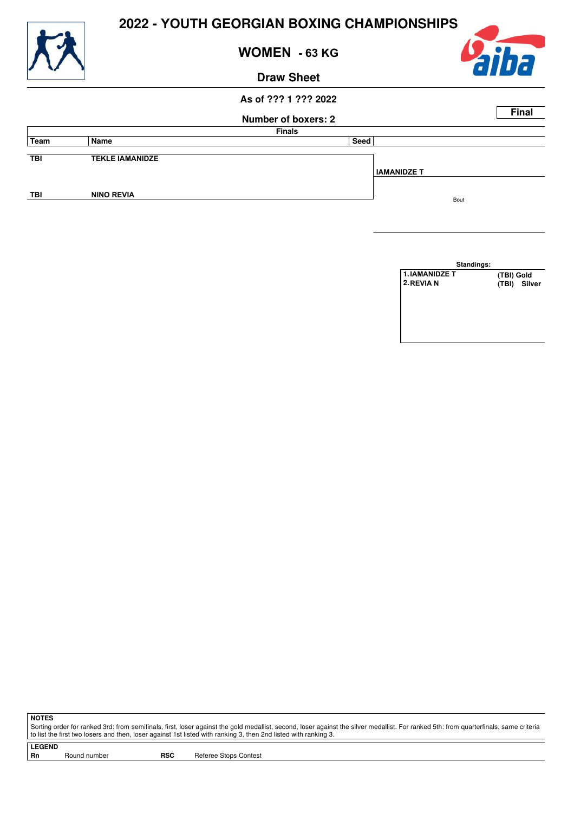

**WOMEN - 63 KG**

#### **Draw Sheet**



#### **As of ??? 1 ??? 2022**

## **Number of boxers: 2 Final Finals Team Name Seed TBI TEKLE IAMANIDZE TBI NINO REVIA IAMANIDZE T**  Bout

**Standings: 1.IAMANIDZE T** (TBI) Gold<br>
2. REVIA N (TBI) Silv **2.REVIA N (TBI) Silver**

**NOTES**

Sorting order for ranked 3rd: from semifinals, first, loser against the gold medallist, second, loser against the silver medallist. For ranked 5th: from quarterfinals, same criteria to list the first two losers and then, loser against 1st listed with ranking 3, then 2nd listed with ranking 3.

**LEGEND**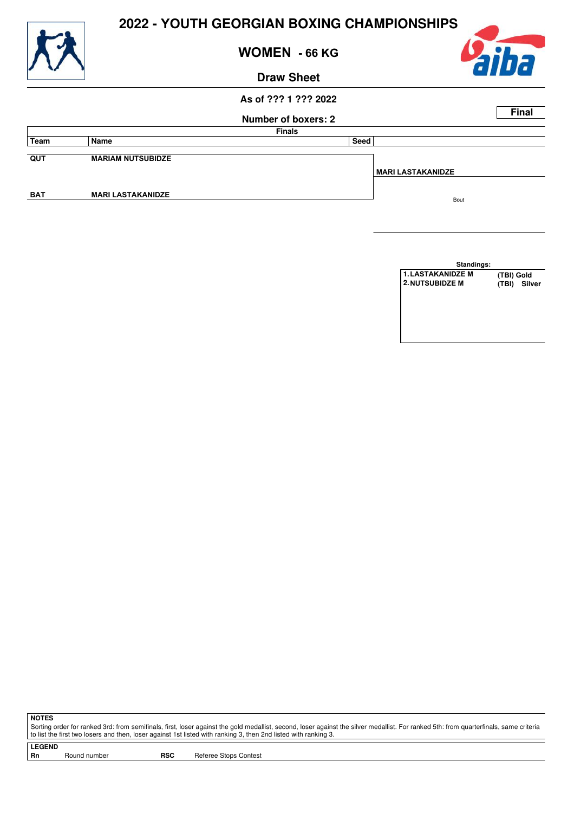

**WOMEN - 66 KG**

#### **Draw Sheet**

#### **As of ??? 1 ??? 2022**

## **Number of boxers: 2 Final Finals Team Name Seed QUT MARIAM NUTSUBIDZE BAT MARI LASTAKANIDZE MARI LASTAKANIDZE** Bout

**Standings: 1.LASTAKANIDZE M (TBI) Gold 2.NUTSUBIDZE M (TBI) Silver**

**NOTES**

Sorting order for ranked 3rd: from semifinals, first, loser against the gold medallist, second, loser against the silver medallist. For ranked 5th: from quarterfinals, same criteria to list the first two losers and then, loser against 1st listed with ranking 3, then 2nd listed with ranking 3.

**LEGEND**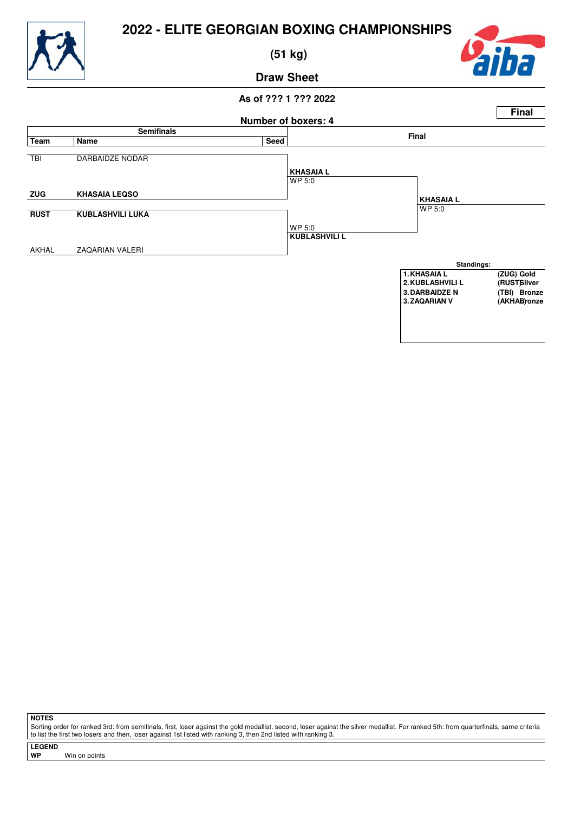

 **(51 kg)**



**Draw Sheet**

## **As of ??? 1 ??? 2022**



**NOTES**

Sorting order for ranked 3rd: from semifinals, first, loser against the gold medallist, second, loser against the silver medallist. For ranked 5th: from quarterfinals, same criteria to list the first two losers and then, loser against 1st listed with ranking 3, then 2nd listed with ranking 3.

**LEGEND**

**Win on points**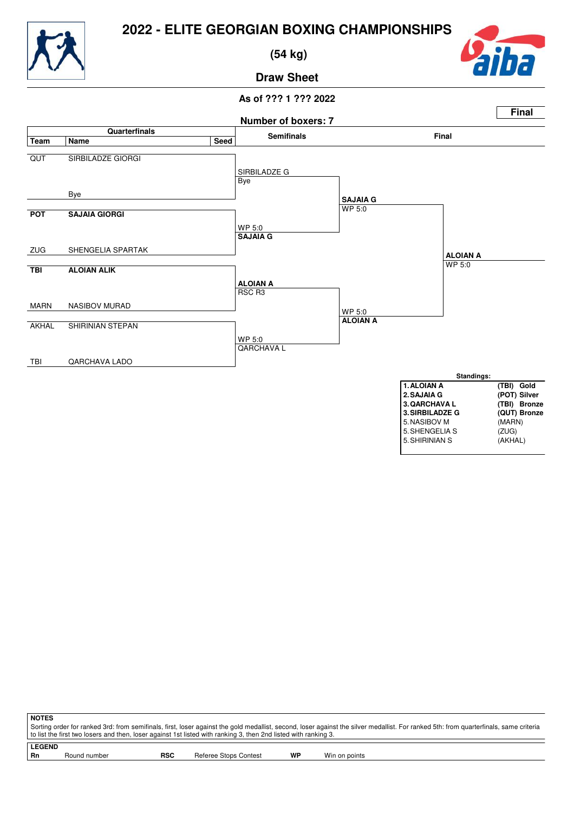



 **(54 kg)**



**Draw Sheet**



| <b>NOTES</b>                                                                                                                                                                          |            |                       |           |               |  |  |
|---------------------------------------------------------------------------------------------------------------------------------------------------------------------------------------|------------|-----------------------|-----------|---------------|--|--|
| Sorting order for ranked 3rd: from semifinals, first, loser against the gold medallist, second, loser against the silver medallist. For ranked 5th: from quarterfinals, same criteria |            |                       |           |               |  |  |
| to list the first two losers and then, loser against 1st listed with ranking 3, then 2nd listed with ranking 3.                                                                       |            |                       |           |               |  |  |
| <b>LEGEND</b>                                                                                                                                                                         |            |                       |           |               |  |  |
|                                                                                                                                                                                       |            |                       |           |               |  |  |
| Round number<br>Rn                                                                                                                                                                    | <b>RSC</b> | Referee Stops Contest | <b>WP</b> | Win on points |  |  |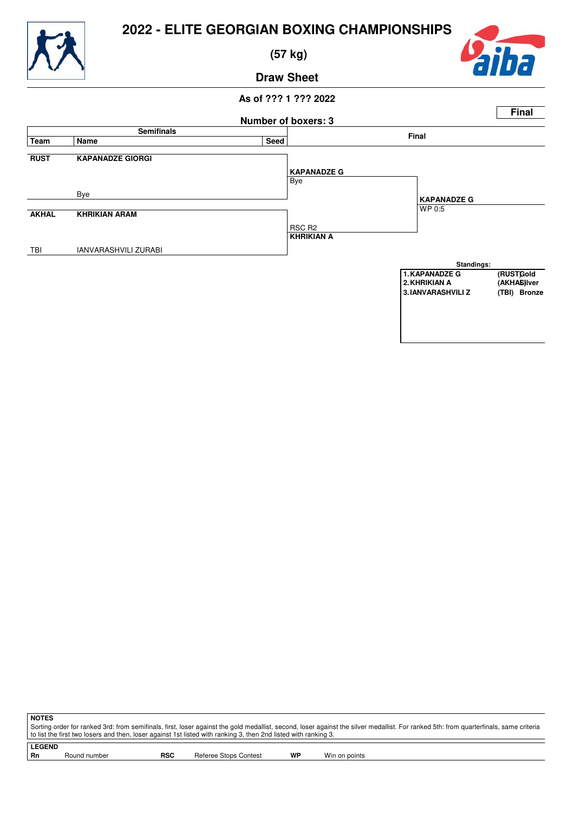

 **(57 kg)**



## **Draw Sheet**

#### **As of ??? 1 ??? 2022 Number of boxers: 3 Final Semifinals Final Team Name Seed RUST KAPANADZE GIORGI** Bye Bye **AKHAL KHRIKIAN ARAM** RSC R2 TBI IANVARASHVILI ZURABI **KAPANADZE G** WP 0:5 **KHRIKIAN A KAPANADZE G Standings:** 1. KAPANADZE G (RUSTGold<br>2. KHRIKIAN A (AKHA**S**)Iver **2.KHRIKIAN A (AKHAL)Silver 3.IANVARASHVILI Z**

**NOTES** Sorting order for ranked 3rd: from semifinals, first, loser against the gold medallist, second, loser against the silver medallist. For ranked 5th: from quarterfinals, same criteria to list the first two losers and then, loser against 1st listed with ranking 3, then 2nd listed with ranking 3.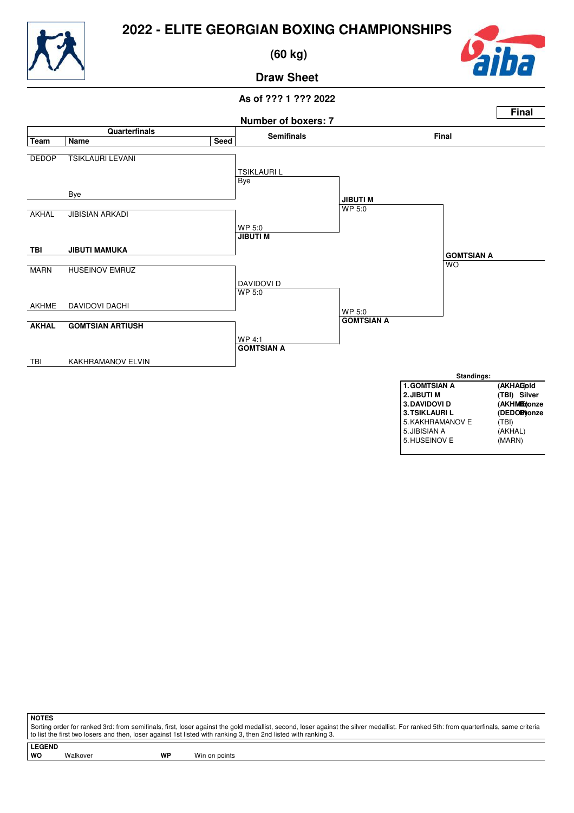



 **(60 kg)**



**Draw Sheet**

#### **As of ??? 1 ??? 2022**



**NOTES**

Sorting order for ranked 3rd: from semifinals, first, loser against the gold medallist, second, loser against the silver medallist. For ranked 5th: from quarterfinals, same criteria to list the first two losers and then, loser against 1st listed with ranking 3, then 2nd listed with ranking 3.

**LEGEND**

Walkover **WP** Win on points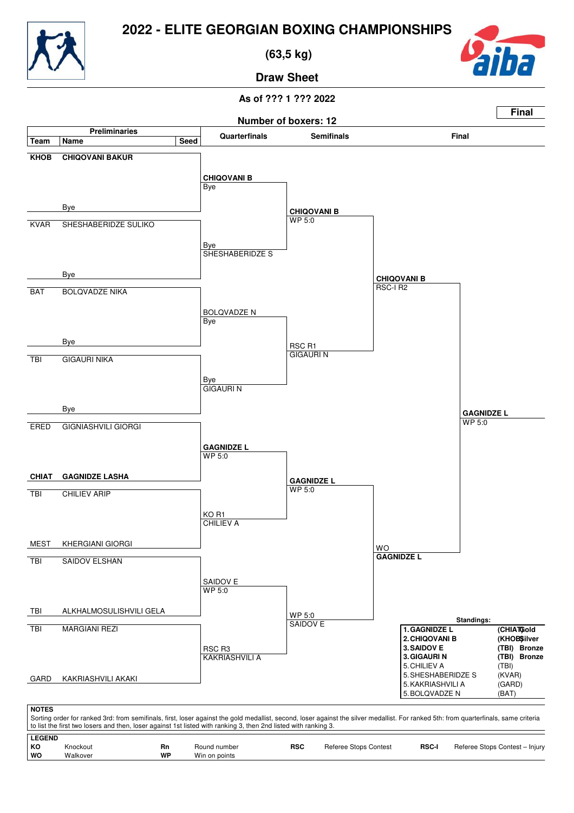



 **(63,5 kg)**



**Draw Sheet**

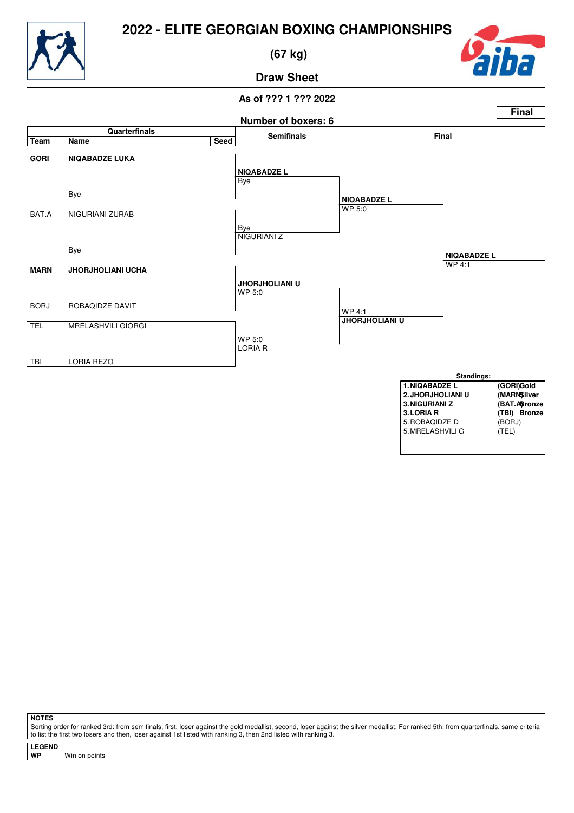

 **(67 kg)**



**Draw Sheet**

#### **As of ??? 1 ??? 2022**



**NOTES**

Sorting order for ranked 3rd: from semifinals, first, loser against the gold medallist, second, loser against the silver medallist. For ranked 5th: from quarterfinals, same criteria to list the first two losers and then, loser against 1st listed with ranking 3, then 2nd listed with ranking 3.

**LEGEND**

**Win on points**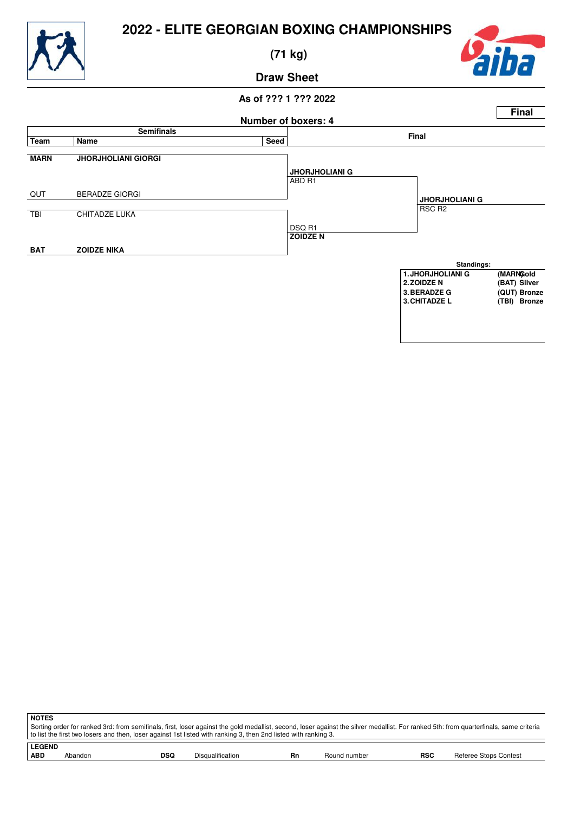

 **(71 kg)**



## **Draw Sheet**



| <b>NOTES</b>                                                                                                                                                                                                                                                                                             |
|----------------------------------------------------------------------------------------------------------------------------------------------------------------------------------------------------------------------------------------------------------------------------------------------------------|
| Sorting order for ranked 3rd: from semifinals, first, loser against the gold medallist, second, loser against the silver medallist. For ranked 5th: from quarterfinals, same criteria<br>to list the first two losers and then, loser against 1st listed with ranking 3, then 2nd listed with ranking 3. |
| <b>LEGEND</b>                                                                                                                                                                                                                                                                                            |

|  |  | <b>ABD</b> | ,,,,,,,,,,,, | - - -<br>DSC. | Jisc<br>ification<br>Шc | ╍<br>וח | number<br>ונוסר | <b>RSC</b> | oroc<br>нe<br>stops<br>ontac<br><b>UUTILES</b> |
|--|--|------------|--------------|---------------|-------------------------|---------|-----------------|------------|------------------------------------------------|
|--|--|------------|--------------|---------------|-------------------------|---------|-----------------|------------|------------------------------------------------|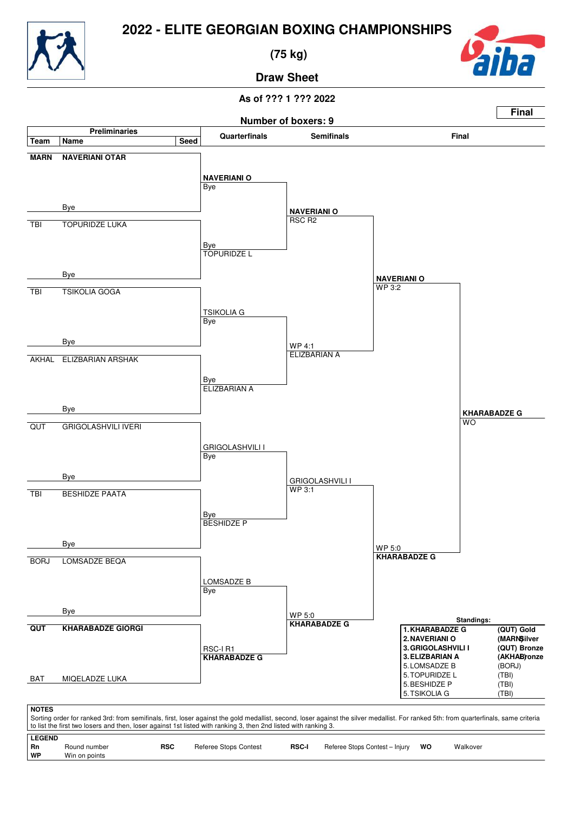

 **(75 kg)**



**Draw Sheet**

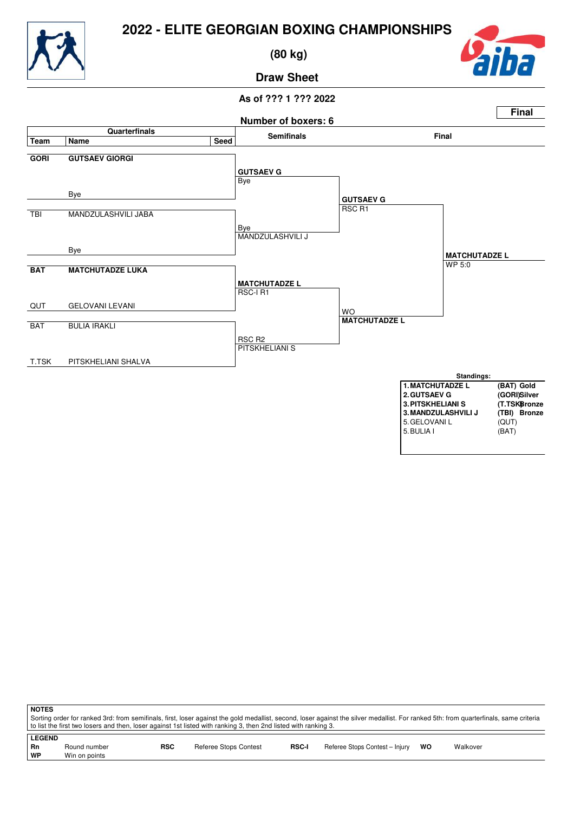

 **(80 kg)**



**Draw Sheet**



| <b>NOTES</b>  |                                                                                                                                                                                       |            |                       |              |                                |    |          |
|---------------|---------------------------------------------------------------------------------------------------------------------------------------------------------------------------------------|------------|-----------------------|--------------|--------------------------------|----|----------|
|               | Sorting order for ranked 3rd: from semifinals, first, loser against the gold medallist, second, loser against the silver medallist. For ranked 5th: from quarterfinals, same criteria |            |                       |              |                                |    |          |
|               | to list the first two losers and then, loser against 1st listed with ranking 3, then 2nd listed with ranking 3.                                                                       |            |                       |              |                                |    |          |
|               |                                                                                                                                                                                       |            |                       |              |                                |    |          |
| <b>LEGEND</b> |                                                                                                                                                                                       |            |                       |              |                                |    |          |
| Rn            | Round number                                                                                                                                                                          | <b>RSC</b> | Referee Stops Contest | <b>RSC-I</b> | Referee Stops Contest - Injury | wo | Walkover |
| WP            | Win on points                                                                                                                                                                         |            |                       |              |                                |    |          |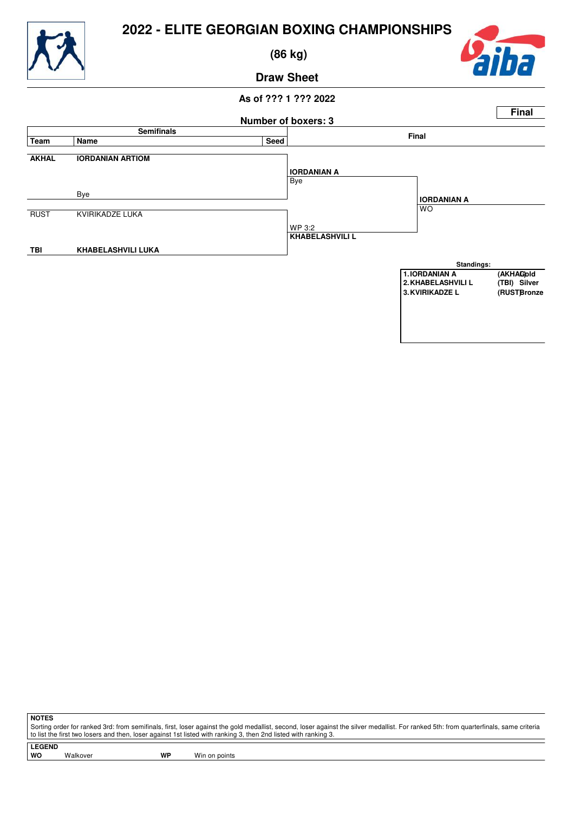

 **(86 kg)**



### **Draw Sheet**

#### **As of ??? 1 ??? 2022 Number of boxers: 3 Final Semifinals Final Team Name Seed AKHAL IORDANIAN ARTIOM** Bye Bye RUST KVIRIKADZE LUKA WP 3:2 **TBI KHABELASHVILI LUKA IORDANIAN A** WO **KHABELASHVILI L IORDANIAN A Standings:** 1.IORDANIAN A (AKHAG)old<br>2.KHABELASHVILI L (TBI) Silver **2.KHABELASHVILI L (TBI) Silver 3. KVIRIKADZE L**

**NOTES**

Sorting order for ranked 3rd: from semifinals, first, loser against the gold medallist, second, loser against the silver medallist. For ranked 5th: from quarterfinals, same criteria to list the first two losers and then, loser against 1st listed with ranking 3, then 2nd listed with ranking 3.

**LEGEND**

Walkover **WP** Win on points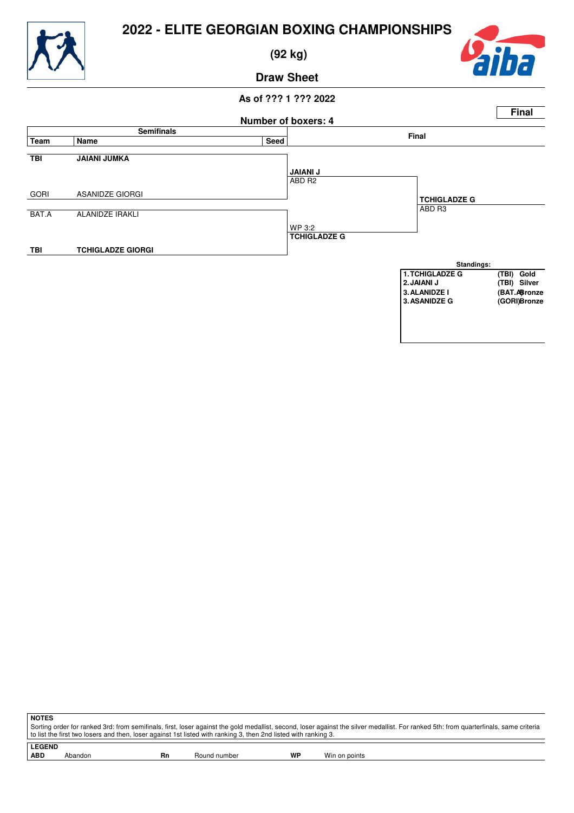

 **(92 kg)**



**Draw Sheet**



| .                                                                                                                                                                                     |
|---------------------------------------------------------------------------------------------------------------------------------------------------------------------------------------|
| Sorting order for ranked 3rd: from semifinals, first, loser against the gold medallist, second, loser against the silver medallist. For ranked 5th: from quarterfinals, same criteria |
| to list the first two losers and then, loser against 1st listed with ranking 3, then 2nd listed with ranking 3.                                                                       |
|                                                                                                                                                                                       |
|                                                                                                                                                                                       |

**NOTES**

**LEGEND** Abandon **Rn** Round number **WP** Win on points